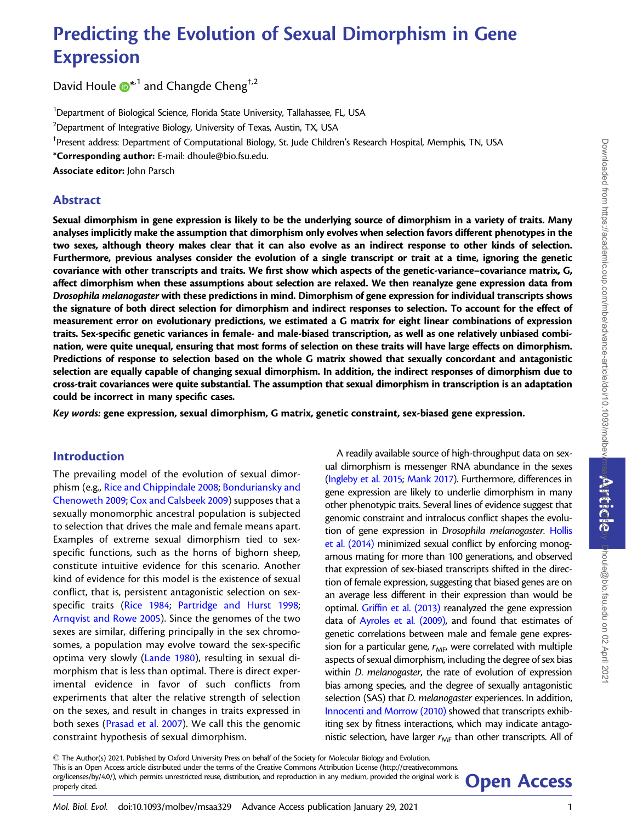# Predicting the Evolution of Sexual Dimorphism in Gene Expression

David Houle  $\mathbf{D}^{*1}$  $\mathbf{D}^{*1}$  $\mathbf{D}^{*1}$  and Changde Cheng<sup>†,2</sup>

<sup>1</sup>Department of Biological Science, Florida State University, Tallahassee, FL, USA

 $^{2}$ Department of Integrative Biology, University of Texas, Austin, TX, USA

† Present address: Department of Computational Biology, St. Jude Children's Research Hospital, Memphis, TN, USA

\*Corresponding author: E-mail: dhoule@bio.fsu.edu.

Associate editor: John Parsch

## Abstract

Sexual dimorphism in gene expression is likely to be the underlying source of dimorphism in a variety of traits. Many analyses implicitly make the assumption that dimorphism only evolves when selection favors different phenotypes in the two sexes, although theory makes clear that it can also evolve as an indirect response to other kinds of selection. Furthermore, previous analyses consider the evolution of a single transcript or trait at a time, ignoring the genetic covariance with other transcripts and traits. We first show which aspects of the genetic-variance–covariance matrix, G, affect dimorphism when these assumptions about selection are relaxed. We then reanalyze gene expression data from Drosophila melanogaster with these predictions in mind. Dimorphism of gene expression for individual transcripts shows the signature of both direct selection for dimorphism and indirect responses to selection. To account for the effect of measurement error on evolutionary predictions, we estimated a G matrix for eight linear combinations of expression traits. Sex-specific genetic variances in female- and male-biased transcription, as well as one relatively unbiased combination, were quite unequal, ensuring that most forms of selection on these traits will have large effects on dimorphism. Predictions of response to selection based on the whole G matrix showed that sexually concordant and antagonistic selection are equally capable of changing sexual dimorphism. In addition, the indirect responses of dimorphism due to cross-trait covariances were quite substantial. The assumption that sexual dimorphism in transcription is an adaptation could be incorrect in many specific cases.

Key words: gene expression, sexual dimorphism, G matrix, genetic constraint, sex-biased gene expression.

# Introduction

The prevailing model of the evolution of sexual dimorphism (e.g., [Rice and Chippindale 2008;](#page-12-0) [Bonduriansky and](#page-11-0) [Chenoweth 2009;](#page-11-0) [Cox and Calsbeek 2009](#page-11-0)) supposes that a sexually monomorphic ancestral population is subjected to selection that drives the male and female means apart. Examples of extreme sexual dimorphism tied to sexspecific functions, such as the horns of bighorn sheep, constitute intuitive evidence for this scenario. Another kind of evidence for this model is the existence of sexual conflict, that is, persistent antagonistic selection on sexspecific traits [\(Rice 1984](#page-12-0); [Partridge and Hurst 1998;](#page-12-0) [Arnqvist and Rowe 2005\)](#page-11-0). Since the genomes of the two sexes are similar, differing principally in the sex chromosomes, a population may evolve toward the sex-specific optima very slowly [\(Lande 1980\)](#page-12-0), resulting in sexual dimorphism that is less than optimal. There is direct experimental evidence in favor of such conflicts from experiments that alter the relative strength of selection on the sexes, and result in changes in traits expressed in both sexes ([Prasad et al. 2007\)](#page-12-0). We call this the genomic constraint hypothesis of sexual dimorphism.

A readily available source of high-throughput data on sexual dimorphism is messenger RNA abundance in the sexes [\(Ingleby et al. 2015;](#page-11-0) [Mank 2017](#page-12-0)). Furthermore, differences in gene expression are likely to underlie dimorphism in many other phenotypic traits. Several lines of evidence suggest that genomic constraint and intralocus conflict shapes the evolution of gene expression in Drosophila melanogaster. [Hollis](#page-11-0) [et al. \(2014\)](#page-11-0) minimized sexual conflict by enforcing monogamous mating for more than 100 generations, and observed that expression of sex-biased transcripts shifted in the direction of female expression, suggesting that biased genes are on an average less different in their expression than would be optimal. [Griffin et al. \(2013\)](#page-11-0) reanalyzed the gene expression data of [Ayroles et al. \(2009\),](#page-11-0) and found that estimates of genetic correlations between male and female gene expression for a particular gene,  $r_{MF}$ , were correlated with multiple aspects of sexual dimorphism, including the degree of sex bias within D. melanogaster, the rate of evolution of expression bias among species, and the degree of sexually antagonistic selection (SAS) that *D. melanogaster* experiences. In addition, [Innocenti and Morrow \(2010\)](#page-12-0) showed that transcripts exhibiting sex by fitness interactions, which may indicate antagonistic selection, have larger  $r_{MF}$  than other transcripts. All of

- The Author(s) 2021. Published by Oxford University Press on behalf of the Society for Molecular Biology and Evolution. This is an Open Access article distributed under the terms of the Creative Commons Attribution License (http://creativecommons. org/licenses/by/4.0/), which permits unrestricted reuse, distribution, and reproduction in any medium, provided the original work is **Open Access**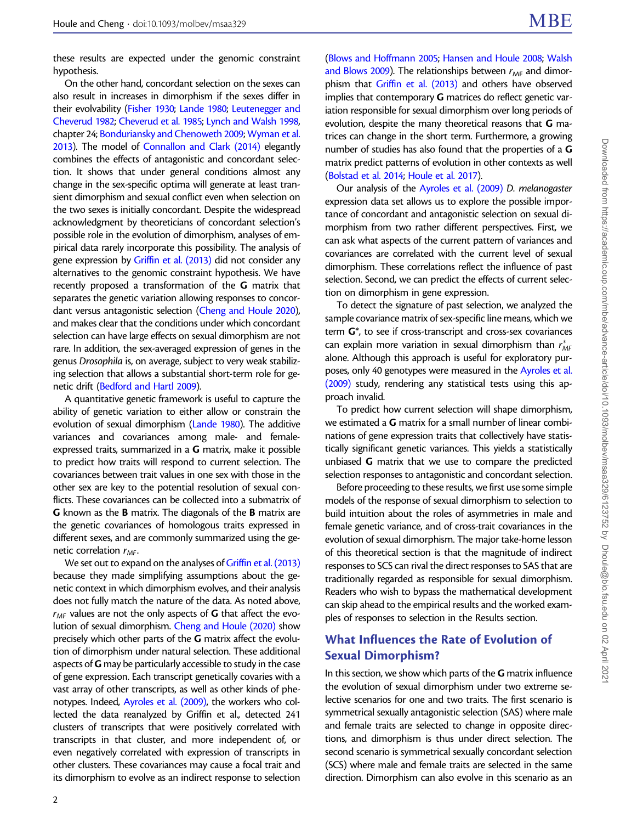these results are expected under the genomic constraint hypothesis.

On the other hand, concordant selection on the sexes can also result in increases in dimorphism if the sexes differ in their evolvability [\(Fisher 1930;](#page-11-0) [Lande 1980;](#page-12-0) [Leutenegger and](#page-12-0) [Cheverud 1982;](#page-12-0) [Cheverud et al. 1985](#page-11-0); [Lynch and Walsh 1998,](#page-12-0) chapter 24; [Bonduriansky and Chenoweth 2009;](#page-11-0) [Wyman et al.](#page-12-0) [2013\)](#page-12-0). The model of [Connallon and Clark \(2014\)](#page-11-0) elegantly combines the effects of antagonistic and concordant selection. It shows that under general conditions almost any change in the sex-specific optima will generate at least transient dimorphism and sexual conflict even when selection on the two sexes is initially concordant. Despite the widespread acknowledgment by theoreticians of concordant selection's possible role in the evolution of dimorphism, analyses of empirical data rarely incorporate this possibility. The analysis of gene expression by [Griffin et al. \(2013\)](#page-11-0) did not consider any alternatives to the genomic constraint hypothesis. We have recently proposed a transformation of the G matrix that separates the genetic variation allowing responses to concordant versus antagonistic selection ([Cheng and Houle 2020\)](#page-11-0), and makes clear that the conditions under which concordant selection can have large effects on sexual dimorphism are not rare. In addition, the sex-averaged expression of genes in the genus Drosophila is, on average, subject to very weak stabilizing selection that allows a substantial short-term role for genetic drift [\(Bedford and Hartl 2009\)](#page-11-0).

A quantitative genetic framework is useful to capture the ability of genetic variation to either allow or constrain the evolution of sexual dimorphism [\(Lande 1980](#page-12-0)). The additive variances and covariances among male- and femaleexpressed traits, summarized in a G matrix, make it possible to predict how traits will respond to current selection. The covariances between trait values in one sex with those in the other sex are key to the potential resolution of sexual conflicts. These covariances can be collected into a submatrix of G known as the B matrix. The diagonals of the B matrix are the genetic covariances of homologous traits expressed in different sexes, and are commonly summarized using the genetic correlation  $r_{MF}$ .

We set out to expand on the analyses of [Griffin et al. \(2013\)](#page-11-0) because they made simplifying assumptions about the genetic context in which dimorphism evolves, and their analysis does not fully match the nature of the data. As noted above,  $r_{MF}$  values are not the only aspects of G that affect the evolution of sexual dimorphism. [Cheng and Houle \(2020\)](#page-11-0) show precisely which other parts of the G matrix affect the evolution of dimorphism under natural selection. These additional aspects of G may be particularly accessible to study in the case of gene expression. Each transcript genetically covaries with a vast array of other transcripts, as well as other kinds of phenotypes. Indeed, [Ayroles et al. \(2009\)](#page-11-0), the workers who collected the data reanalyzed by Griffin et al., detected 241 clusters of transcripts that were positively correlated with transcripts in that cluster, and more independent of, or even negatively correlated with expression of transcripts in other clusters. These covariances may cause a focal trait and its dimorphism to evolve as an indirect response to selection [\(Blows and Hoffmann 2005;](#page-11-0) [Hansen and Houle 2008;](#page-11-0) [Walsh](#page-12-0) [and Blows 2009\)](#page-12-0). The relationships between  $r_{MF}$  and dimorphism that [Griffin et al. \(2013\)](#page-11-0) and others have observed implies that contemporary **G** matrices do reflect genetic variation responsible for sexual dimorphism over long periods of evolution, despite the many theoretical reasons that  $G$  matrices can change in the short term. Furthermore, a growing number of studies has also found that the properties of a G matrix predict patterns of evolution in other contexts as well [\(Bolstad et al. 2014;](#page-11-0) [Houle et al. 2017](#page-11-0)).

Our analysis of the [Ayroles et al. \(2009\)](#page-11-0) D. melanogaster expression data set allows us to explore the possible importance of concordant and antagonistic selection on sexual dimorphism from two rather different perspectives. First, we can ask what aspects of the current pattern of variances and covariances are correlated with the current level of sexual dimorphism. These correlations reflect the influence of past selection. Second, we can predict the effects of current selection on dimorphism in gene expression.

To detect the signature of past selection, we analyzed the sample covariance matrix of sex-specific line means, which we term G\*, to see if cross-transcript and cross-sex covariances can explain more variation in sexual dimorphism than  $r^*_{MF}$ alone. Although this approach is useful for exploratory purposes, only 40 genotypes were measured in the [Ayroles et al.](#page-11-0) [\(2009\)](#page-11-0) study, rendering any statistical tests using this approach invalid.

To predict how current selection will shape dimorphism, we estimated a G matrix for a small number of linear combinations of gene expression traits that collectively have statistically significant genetic variances. This yields a statistically unbiased G matrix that we use to compare the predicted selection responses to antagonistic and concordant selection.

Before proceeding to these results, we first use some simple models of the response of sexual dimorphism to selection to build intuition about the roles of asymmetries in male and female genetic variance, and of cross-trait covariances in the evolution of sexual dimorphism. The major take-home lesson of this theoretical section is that the magnitude of indirect responses to SCS can rival the direct responses to SAS that are traditionally regarded as responsible for sexual dimorphism. Readers who wish to bypass the mathematical development can skip ahead to the empirical results and the worked examples of responses to selection in the Results section.

# What Influences the Rate of Evolution of Sexual Dimorphism?

In this section, we show which parts of the  $G$  matrix influence the evolution of sexual dimorphism under two extreme selective scenarios for one and two traits. The first scenario is symmetrical sexually antagonistic selection (SAS) where male and female traits are selected to change in opposite directions, and dimorphism is thus under direct selection. The second scenario is symmetrical sexually concordant selection (SCS) where male and female traits are selected in the same direction. Dimorphism can also evolve in this scenario as an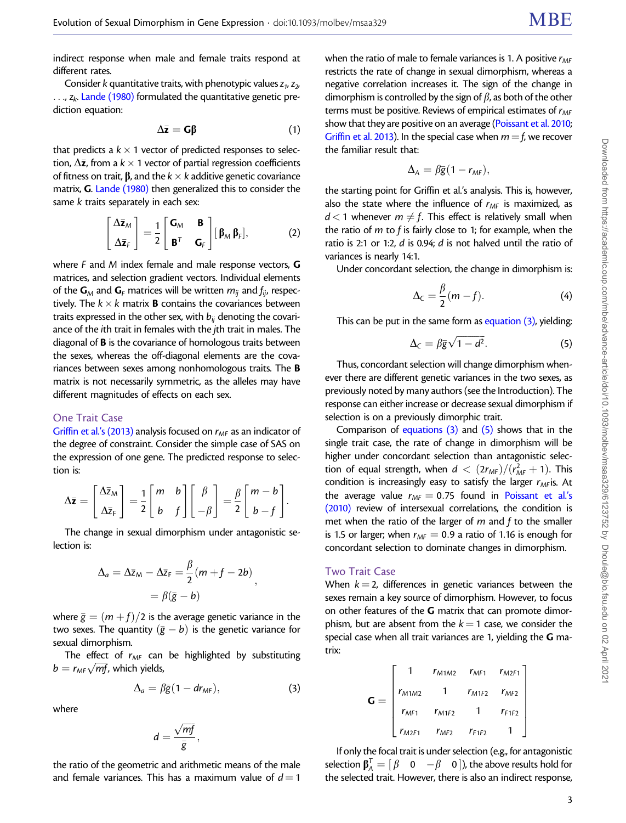<span id="page-2-0"></span>indirect response when male and female traits respond at different rates.

Consider k quantitative traits, with phenotypic values  $z_1$ ,  $z_2$ ,  $\ldots$ ,  $z_k$ . [Lande \(1980\)](#page-12-0) formulated the quantitative genetic prediction equation:

$$
\Delta \bar{z} = G\beta \tag{1}
$$

that predicts a  $k \times 1$  vector of predicted responses to selection,  $\Delta \bar{\mathsf{z}}$ , from a  $k \times$  1 vector of partial regression coefficients of fitness on trait,  $\beta$ , and the  $k \times k$  additive genetic covariance matrix, G. [Lande \(1980\)](#page-12-0) then generalized this to consider the same k traits separately in each sex:

$$
\begin{bmatrix} \Delta \bar{z}_M \\ \Delta \bar{z}_F \end{bmatrix} = \frac{1}{2} \begin{bmatrix} \mathbf{G}_M & \mathbf{B} \\ \mathbf{B}^T & \mathbf{G}_F \end{bmatrix} \begin{bmatrix} \beta_M \beta_F \end{bmatrix},\tag{2}
$$

where F and M index female and male response vectors, **G** matrices, and selection gradient vectors. Individual elements of the  $G_M$  and  $G_F$  matrices will be written  $m_{ij}$  and  $f_{ij}$ , respectively. The  $k \times k$  matrix **B** contains the covariances between traits expressed in the other sex, with  $b_{ii}$  denoting the covariance of the ith trait in females with the jth trait in males. The diagonal of B is the covariance of homologous traits between the sexes, whereas the off-diagonal elements are the covariances between sexes among nonhomologous traits. The B matrix is not necessarily symmetric, as the alleles may have different magnitudes of effects on each sex.

#### One Trait Case

[Griffin et al.'s \(2013\)](#page-11-0) analysis focused on  $r_{MF}$  as an indicator of the degree of constraint. Consider the simple case of SAS on the expression of one gene. The predicted response to selection is:

$$
\Delta \bar{z} = \begin{bmatrix} \Delta \bar{z}_M \\ \Delta \bar{z}_F \end{bmatrix} = \frac{1}{2} \begin{bmatrix} m & b \\ b & f \end{bmatrix} \begin{bmatrix} \beta \\ -\beta \end{bmatrix} = \frac{\beta}{2} \begin{bmatrix} m-b \\ b-f \end{bmatrix}.
$$

The change in sexual dimorphism under antagonistic selection is:

$$
\Delta_a = \Delta \bar{z}_M - \Delta \bar{z}_F = \frac{\beta}{2} (m + f - 2b),
$$
  
=  $\beta(\bar{g} - b)$ 

where  $\bar{g} = (m + f)/2$  is the average genetic variance in the two sexes. The quantity  $(\bar{g}-b)$  is the genetic variance for sexual dimorphism.

The effect of  $r_{MF}$  can be highlighted by substituting Fire effect of  $r_{MF}$  can<br>b =  $r_{MF}\sqrt{mf}$ , which yields,

$$
\Delta_a = \beta \bar{g} (1 - dr_{MF}), \qquad (3)
$$

where

$$
d=\frac{\sqrt{mf}}{\overline{g}},
$$

the ratio of the geometric and arithmetic means of the male and female variances. This has a maximum value of  $d=1$ 

when the ratio of male to female variances is 1. A positive  $r_{MF}$ restricts the rate of change in sexual dimorphism, whereas a negative correlation increases it. The sign of the change in dimorphism is controlled by the sign of  $\beta$ , as both of the other terms must be positive. Reviews of empirical estimates of  $r_{MF}$ show that they are positive on an average [\(Poissant et al. 2010;](#page-12-0) [Griffin et al. 2013](#page-11-0)). In the special case when  $m = f$ , we recover the familiar result that:

$$
\Delta_A = \beta \bar{g} (1 - r_{MF}),
$$

the starting point for Griffin et al.'s analysis. This is, however, also the state where the influence of  $r_{MF}$  is maximized, as  $d < 1$  whenever  $m \neq f$ . This effect is relatively small when the ratio of  $m$  to  $f$  is fairly close to 1; for example, when the ratio is 2:1 or 1:2, d is 0.94; d is not halved until the ratio of variances is nearly 14:1.

Under concordant selection, the change in dimorphism is:

$$
\Delta_{\mathcal{C}} = \frac{\beta}{2}(m - f). \tag{4}
$$

This can be put in the same form as equation  $(3)$ , yielding:

$$
\Delta_{\mathcal{C}} = \beta \bar{g} \sqrt{1 - d^2}.
$$
 (5)

Thus, concordant selection will change dimorphism whenever there are different genetic variances in the two sexes, as previously noted by many authors (see the Introduction). The response can either increase or decrease sexual dimorphism if selection is on a previously dimorphic trait.

Comparison of equations (3) and (5) shows that in the single trait case, the rate of change in dimorphism will be higher under concordant selection than antagonistic selection of equal strength, when  $d < (2r_{MF})/(r_{MF}^2 + 1)$ . This condition is increasingly easy to satisfy the larger  $r_{MF}$ is. At the average value  $r_{MF} = 0.75$  found in [Poissant et al.'s](#page-12-0) [\(2010\)](#page-12-0) review of intersexual correlations, the condition is met when the ratio of the larger of  $m$  and  $f$  to the smaller is 1.5 or larger; when  $r_{MF} = 0.9$  a ratio of 1.16 is enough for concordant selection to dominate changes in dimorphism.

#### Two Trait Case

When  $k = 2$ , differences in genetic variances between the sexes remain a key source of dimorphism. However, to focus on other features of the G matrix that can promote dimorphism, but are absent from the  $k = 1$  case, we consider the special case when all trait variances are 1, yielding the  $G$  matrix:

$$
\mathbf{G} = \begin{bmatrix} 1 & r_{M1M2} & r_{MF1} & r_{M2F1} \\ r_{M1M2} & 1 & r_{M1F2} & r_{MF2} \\ r_{MF1} & r_{M1F2} & 1 & r_{F1F2} \\ r_{M2F1} & r_{MF2} & r_{F1F2} & 1 \end{bmatrix}
$$

If only the focal trait is under selection (e.g., for antagonistic selection  $\beta^{\mathcal{T}}_A = [\begin{matrix} \beta & 0 & -\beta & 0 \end{matrix}]$ ), the above results hold for the selected trait. However, there is also an indirect response,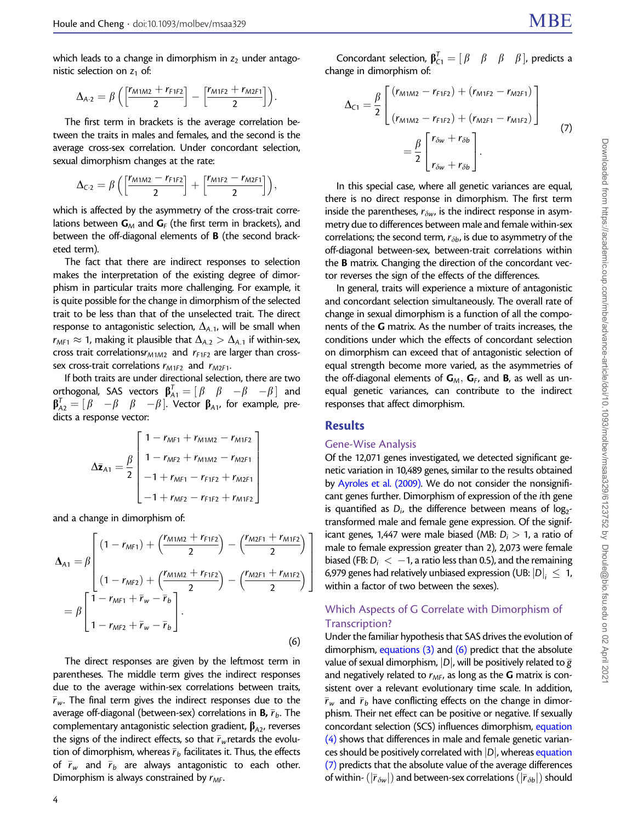<span id="page-3-0"></span>which leads to a change in dimorphism in  $z_2$  under antagonistic selection on  $z_1$  of:

$$
\Delta_{A\cdot 2} = \beta \, \Big( \Big[\frac{r_{M1M2} + r_{F1F2}}{2}\Big] - \Big[\frac{r_{M1F2} + r_{M2F1}}{2}\Big]\Big).
$$

The first term in brackets is the average correlation between the traits in males and females, and the second is the average cross-sex correlation. Under concordant selection, sexual dimorphism changes at the rate:

$$
\Delta_{C\cdot 2} = \beta \left( \left[ \frac{r_{M1M2} - r_{F1F2}}{2} \right] + \left[ \frac{r_{M1F2} - r_{M2F1}}{2} \right] \right),
$$

which is affected by the asymmetry of the cross-trait correlations between  $G_M$  and  $G_F$  (the first term in brackets), and between the off-diagonal elements of B (the second bracketed term).

The fact that there are indirect responses to selection makes the interpretation of the existing degree of dimorphism in particular traits more challenging. For example, it is quite possible for the change in dimorphism of the selected trait to be less than that of the unselected trait. The direct response to antagonistic selection,  $\Delta_{A,1}$ , will be small when  $r_{MF1} \approx 1$ , making it plausible that  $\Delta_{A.2} > \Delta_{A.1}$  if within-sex, cross trait correlations $r_{M1M2}$  and  $r_{F1F2}$  are larger than crosssex cross-trait correlations  $r_{M1F2}$  and  $r_{M2F1}$ .

If both traits are under directional selection, there are two orthogonal, SAS vectors  $\beta_{A1}^T = [\beta \quad \beta \quad -\beta \quad -\beta]$  and  $\beta_{A2}^{\mathcal{T}}=[\begin{array}{cccc} \beta & -\beta & \beta & -\beta \end{array}].$  Vector  $\beta_{A1}$ , for example, predicts a response vector:

$$
\Delta \bar{z}_{A1} = \frac{\beta}{2} \begin{bmatrix} 1 - r_{MF1} + r_{M1M2} - r_{M1F2} \\ 1 - r_{MF2} + r_{M1M2} - r_{M2F1} \\ -1 + r_{MF1} - r_{F1F2} + r_{M2F1} \\ -1 + r_{MF2} - r_{F1F2} + r_{M1F2} \end{bmatrix}
$$

and a change in dimorphism of:

$$
\Delta_{A1} = \beta \left[ (1 - r_{MF1}) + \left( \frac{r_{M1M2} + r_{F1F2}}{2} \right) - \left( \frac{r_{M2F1} + r_{M1F2}}{2} \right) \right]
$$
  
=  $\beta \left[ \frac{1 - r_{MF1} + \bar{r}_w - \bar{r}_b}{1 - r_{MF2} + \bar{r}_w - \bar{r}_b} \right].$  (6)

The direct responses are given by the leftmost term in parentheses. The middle term gives the indirect responses due to the average within-sex correlations between traits,  $\bar{r}_{w}$ . The final term gives the indirect responses due to the average off-diagonal (between-sex) correlations in **B,**  $\bar{r}_b$ . The complementary antagonistic selection gradient,  $\beta_{A2}$ , reverses the signs of the indirect effects, so that  $\bar{r}_w$ retards the evolution of dimorphism, whereas  $\bar{r}_b$  facilitates it. Thus, the effects of  $\bar{r}_w$  and  $\bar{r}_b$  are always antagonistic to each other. Dimorphism is always constrained by  $r_{MF}$ .

4

$$
\Delta_{C1} = \frac{\beta}{2} \begin{bmatrix} (r_{M1M2} - r_{F1F2}) + (r_{M1F2} - r_{M2F1}) \\ (r_{M1M2} - r_{F1F2}) + (r_{M2F1} - r_{M1F2}) \end{bmatrix}
$$
  
=  $\frac{\beta}{2} \begin{bmatrix} r_{\delta w} + r_{\delta b} \\ r_{\delta w} + r_{\delta b} \end{bmatrix}$ . (7)

In this special case, where all genetic variances are equal, there is no direct response in dimorphism. The first term inside the parentheses,  $r_{\delta w}$ , is the indirect response in asymmetry due to differences between male and female within-sex correlations; the second term,  $r_{\delta b}$ , is due to asymmetry of the off-diagonal between-sex, between-trait correlations within the B matrix. Changing the direction of the concordant vector reverses the sign of the effects of the differences.

In general, traits will experience a mixture of antagonistic and concordant selection simultaneously. The overall rate of change in sexual dimorphism is a function of all the components of the G matrix. As the number of traits increases, the conditions under which the effects of concordant selection on dimorphism can exceed that of antagonistic selection of equal strength become more varied, as the asymmetries of the off-diagonal elements of  $G_M$ ,  $G_F$ , and **B**, as well as unequal genetic variances, can contribute to the indirect responses that affect dimorphism.

### **Results**

#### Gene-Wise Analysis

Of the 12,071 genes investigated, we detected significant genetic variation in 10,489 genes, similar to the results obtained by [Ayroles et al. \(2009\)](#page-11-0). We do not consider the nonsignificant genes further. Dimorphism of expression of the ith gene is quantified as  $D_i$ , the difference between means of  $log_{2}$ transformed male and female gene expression. Of the significant genes, 1,447 were male biased (MB:  $D_i > 1$ , a ratio of male to female expression greater than 2), 2,073 were female biased (FB:  $D_i < -1$ , a ratio less than 0.5), and the remaining 6,979 genes had relatively unbiased expression (UB:  $\left|D\right|_{i}~\leq~$  1, within a factor of two between the sexes).

## Which Aspects of G Correlate with Dimorphism of Transcription?

Under the familiar hypothesis that SAS drives the evolution of dimorphism, equations  $(3)$  and  $(6)$  predict that the absolute value of sexual dimorphism,  $|D|$ , will be positively related to  $\bar{g}$ and negatively related to  $r_{MF}$ , as long as the G matrix is consistent over a relevant evolutionary time scale. In addition,  $\bar{r}_w$  and  $\bar{r}_b$  have conflicting effects on the change in dimorphism. Their net effect can be positive or negative. If sexually concordant selection (SCS) influences dimorphism, [equation](#page-2-0)  $(4)$  shows that differences in male and female genetic variances should be positively correlated with  $|D|$ , whereas equation (7) predicts that the absolute value of the average differences of within-  $(|\bar{r}_{\delta w}|)$  and between-sex correlations  $(|\bar{r}_{\delta b}|)$  should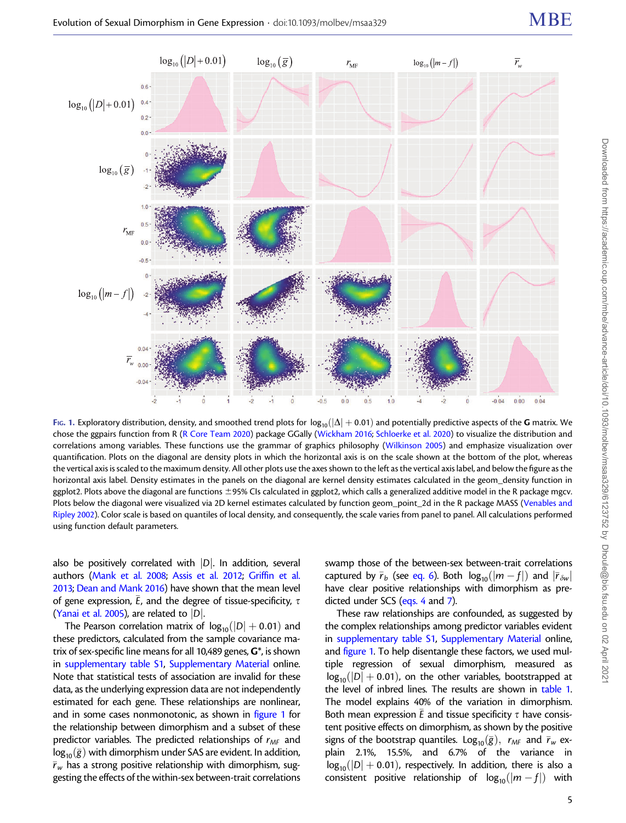

FIG. 1. Exploratory distribution, density, and smoothed trend plots for  $log_{10}(|\Delta| + 0.01)$  and potentially predictive aspects of the G matrix. We chose the ggpairs function from R ([R Core Team 2020](#page-12-0)) package GGally ([Wickham 2016;](#page-12-0) [Schloerke et al. 2020\)](#page-12-0) to visualize the distribution and correlations among variables. These functions use the grammar of graphics philosophy ([Wilkinson 2005](#page-12-0)) and emphasize visualization over quantification. Plots on the diagonal are density plots in which the horizontal axis is on the scale shown at the bottom of the plot, whereas the vertical axis is scaled to the maximum density. All other plots use the axes shown to the left as the vertical axis label, and below the figure as the horizontal axis label. Density estimates in the panels on the diagonal are kernel density estimates calculated in the geom\_density function in ggplot2. Plots above the diagonal are functions  $\pm$ 95% CIs calculated in ggplot2, which calls a generalized additive model in the R package mgcv. Plots below the diagonal were visualized via 2D kernel estimates calculated by function geom\_point\_2d in the R package MASS [\(Venables and](#page-12-0) [Ripley 2002\)](#page-12-0). Color scale is based on quantiles of local density, and consequently, the scale varies from panel to panel. All calculations performed using function default parameters.

also be positively correlated with  $|D|$ . In addition, several authors ([Mank et al. 2008;](#page-12-0) [Assis et al. 2012](#page-11-0); [Griffin et al.](#page-11-0) [2013;](#page-11-0) [Dean and Mank 2016](#page-11-0)) have shown that the mean level of gene expression,  $\bar{\mathit{E}}$ , and the degree of tissue-specificity,  $\tau$ ([Yanai et al. 2005\)](#page-12-0), are related to  $|D|$ .

The Pearson correlation matrix of  $log_{10}(|D|+0.01)$  and these predictors, calculated from the sample covariance matrix of sex-specific line means for all 10,489 genes,  $\mathbf{G}^*$ , is shown in supplementary table S1, Supplementary Material online. Note that statistical tests of association are invalid for these data, as the underlying expression data are not independently estimated for each gene. These relationships are nonlinear, and in some cases nonmonotonic, as shown in figure 1 for the relationship between dimorphism and a subset of these predictor variables. The predicted relationships of  $r_{MF}$  and  $\log_{10}(\bar{g})$  with dimorphism under SAS are evident. In addition,  $\bar{r}_w$  has a strong positive relationship with dimorphism, suggesting the effects of the within-sex between-trait correlations

swamp those of the between-sex between-trait correlations captured by  $\bar{r}_b$  (see [eq. 6\)](#page-3-0). Both  $\log_{10}(|m-f|)$  and  $|\bar{r}_{\delta w}|$ have clear positive relationships with dimorphism as predicted under SCS ([eqs. 4](#page-2-0) and [7](#page-3-0)).

These raw relationships are confounded, as suggested by the complex relationships among predictor variables evident in supplementary table S1, Supplementary Material online, and figure 1. To help disentangle these factors, we used multiple regression of sexual dimorphism, measured as  $log_{10}(|D| + 0.01)$ , on the other variables, bootstrapped at the level of inbred lines. The results are shown in [table 1.](#page-5-0) The model explains 40% of the variation in dimorphism. Both mean expression  $\bar{E}$  and tissue specificity  $\tau$  have consistent positive effects on dimorphism, as shown by the positive signs of the bootstrap quantiles.  $\text{Log}_{10}(\bar{g})$ ,  $r_{MF}$  and  $\bar{r}_w$  explain 2.1%, 15.5%, and 6.7% of the variance in  $log_{10}(|D| + 0.01)$ , respectively. In addition, there is also a consistent positive relationship of  $log_{10}(|m - f|)$  with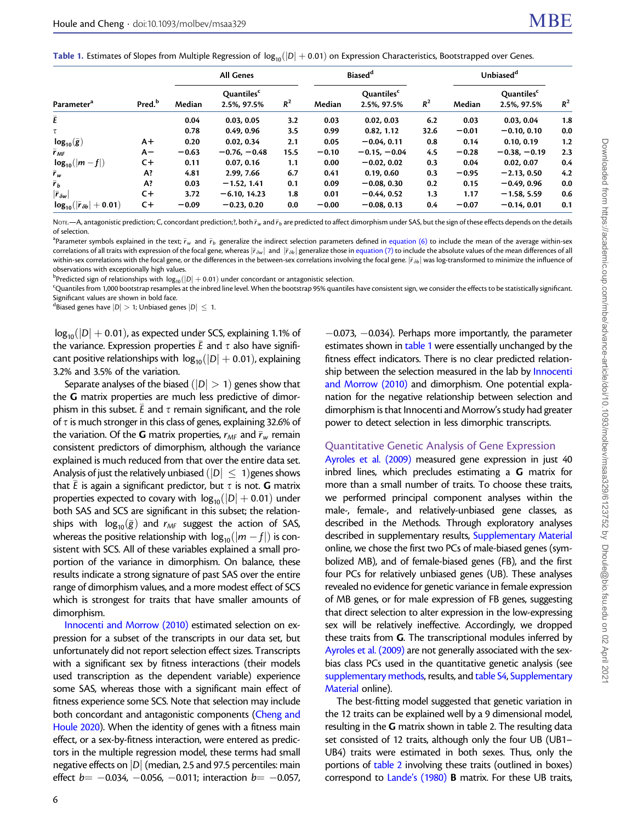<span id="page-5-0"></span>Table 1. Estimates of Slopes from Multiple Regression of  $log_{10}(|D| + 0.01)$  on Expression Characteristics, Bootstrapped over Genes.

|                                         |                    | <b>All Genes</b> |                                       |       |         | Biased <sup>d</sup>                   |       | Unbiased <sup>d</sup> |                                       |       |
|-----------------------------------------|--------------------|------------------|---------------------------------------|-------|---------|---------------------------------------|-------|-----------------------|---------------------------------------|-------|
| Parameter <sup>a</sup>                  | Pred. <sup>b</sup> | Median           | Quantiles <sup>c</sup><br>2.5%, 97.5% | $R^2$ | Median  | Quantiles <sup>c</sup><br>2.5%, 97.5% | $R^2$ | Median                | Quantiles <sup>c</sup><br>2.5%, 97.5% | $R^2$ |
| $\bar{\bm{\mathsf{E}}}$                 |                    | 0.04             | 0.03, 0.05                            | 3.2   | 0.03    | 0.02, 0.03                            | 6.2   | 0.03                  | 0.03.0.04                             | 1.8   |
| τ                                       |                    | 0.78             | 0.49, 0.96                            | 3.5   | 0.99    | 0.82, 1.12                            | 32.6  | $-0.01$               | $-0.10, 0.10$                         | 0.0   |
| $log_{10}(\bar{g})$                     | $A +$              | 0.20             | 0.02, 0.34                            | 2.1   | 0.05    | $-0.04.0.11$                          | 0.8   | 0.14                  | 0.10.0.19                             | 1.2   |
| $\overline{r}_{MF}$                     | А-                 | $-0.63$          | $-0.76, -0.48$                        | 15.5  | $-0.10$ | $-0.15, -0.04$                        | 4.5   | $-0.28$               | $-0.38, -0.19$                        | 2.3   |
| $log_{10}( m - f )$                     | $C +$              | 0.11             | 0.07, 0.16                            | 1.1   | 0.00    | $-0.02, 0.02$                         | 0.3   | 0.04                  | 0.02, 0.07                            | 0.4   |
| $\bar{r}_w$                             | A?                 | 4.81             | 2.99, 7.66                            | 6.7   | 0.41    | 0.19, 0.60                            | 0.3   | $-0.95$               | $-2.13, 0.50$                         | 4.2   |
| $\bar{r}_h$                             | A?                 | 0.03             | $-1.52.1.41$                          | 0.1   | 0.09    | $-0.08, 0.30$                         | 0.2   | 0.15                  | $-0.49.0.96$                          | 0.0   |
| $ \bar{r}_{\delta w} $                  | $C +$              | 3.72             | $-6.10, 14.23$                        | 1.8   | 0.01    | $-0.44, 0.52$                         | 1.3   | 1.17                  | $-1.58, 5.59$                         | 0.6   |
| $log_{10}( \vec{r}_{\delta b}  + 0.01)$ | $C +$              | $-0.09$          | $-0.23, 0.20$                         | 0.0   | $-0.00$ | $-0.08, 0.13$                         | 0.4   | $-0.07$               | $-0.14, 0.01$                         | 0.1   |

Nore.—A, antagonistic prediction; C, concordant prediction;?, both  $\bar{r}_w$  and  $\bar{r}_b$  are predicted to affect dimorphism under SAS, but the sign of these effects depends on the details of selection.

 $^{\rm a}$ Parameter symbols explained in the text;  $\bar{r}_{\rm w}$  and  $\bar{r}_{b}$  generalize the indirect selection parameters defined in [equation \(6\)](#page-3-0) to include the mean of the average within-sex correlations of all traits with expression of the focal gene, whereas  $|\bar{r}_{\delta w}|$  and  $|\bar{r}_{\delta b}|$  generalize those in [equation \(7\)](#page-3-0) to include the absolute values of the mean differences of all within-sex correlations with the focal gene, or the differences in the between-sex correlations involving the focal gene.  $|\bar{r}_{\delta b}|$  was log-transformed to minimize the influence of observations with exceptionally high values.

 $^{\text{b}}$ Predicted sign of relationships with  $\log_{10}(|D|+0.01)$  under concordant or antagonistic selection.<br>Countiles from 1,000 bootstrap resamples at the inhred line level. When the bootstrap 95% quantiles

 $\epsilon$ Ouantiles from 1,000 bootstrap resamples at the inbred line level. When the bootstrap 95% quantiles have consistent sign, we consider the effects to be statistically significant. Significant values are shown in bold face.

<sup>d</sup>Biased genes have  $|D| > 1$ ; Unbiased genes  $|D| \leq 1$ .

 $log_{10}(|D| + 0.01)$ , as expected under SCS, explaining 1.1% of the variance. Expression properties  $\bar{E}$  and  $\tau$  also have significant positive relationships with  $log_{10}(|D| + 0.01)$ , explaining 3.2% and 3.5% of the variation.

Separate analyses of the biased  $(|D| > 1)$  genes show that the G matrix properties are much less predictive of dimorphism in this subset.  $\bar{E}$  and  $\tau$  remain significant, and the role of  $\tau$  is much stronger in this class of genes, explaining 32.6% of the variation. Of the **G** matrix properties,  $r_{\scriptscriptstyle\mathcal{M}^F}$  and  $\overline{r}_{\scriptscriptstyle\mathcal{W}}$  remain consistent predictors of dimorphism, although the variance explained is much reduced from that over the entire data set. Analysis of just the relatively unbiased  $(|D| \leq 1)$ genes shows that  $\bar{E}$  is again a significant predictor, but  $\tau$  is not.  ${\bf G}$  matrix properties expected to covary with  $log_{10}(|D|+0.01)$  under both SAS and SCS are significant in this subset; the relationships with  $\log_{10}(\bar{g})$  and  $r_{\rm MF}$  suggest the action of SAS, whereas the positive relationship with  $log_{10}(|m - f|)$  is consistent with SCS. All of these variables explained a small proportion of the variance in dimorphism. On balance, these results indicate a strong signature of past SAS over the entire range of dimorphism values, and a more modest effect of SCS which is strongest for traits that have smaller amounts of dimorphism.

[Innocenti and Morrow \(2010\)](#page-12-0) estimated selection on expression for a subset of the transcripts in our data set, but unfortunately did not report selection effect sizes. Transcripts with a significant sex by fitness interactions (their models used transcription as the dependent variable) experience some SAS, whereas those with a significant main effect of fitness experience some SCS. Note that selection may include both concordant and antagonistic components [\(Cheng and](#page-11-0) [Houle 2020\)](#page-11-0). When the identity of genes with a fitness main effect, or a sex-by-fitness interaction, were entered as predictors in the multiple regression model, these terms had small negative effects on  $|D|$  (median, 2.5 and 97.5 percentiles: main effect  $b = -0.034$ , -0.056, -0.011; interaction  $b = -0.057$ ,

6

 $-0.073$ ,  $-0.034$ ). Perhaps more importantly, the parameter estimates shown in table 1 were essentially unchanged by the fitness effect indicators. There is no clear predicted relation-ship between the selection measured in the lab by [Innocenti](#page-12-0) [and Morrow \(2010\)](#page-12-0) and dimorphism. One potential explanation for the negative relationship between selection and dimorphism is that Innocenti and Morrow's study had greater power to detect selection in less dimorphic transcripts.

#### Quantitative Genetic Analysis of Gene Expression

[Ayroles et al. \(2009\)](#page-11-0) measured gene expression in just 40 inbred lines, which precludes estimating a  $G$  matrix for more than a small number of traits. To choose these traits, we performed principal component analyses within the male-, female-, and relatively-unbiased gene classes, as described in the Methods. Through exploratory analyses described in supplementary results, Supplementary Material online, we chose the first two PCs of male-biased genes (symbolized MB), and of female-biased genes (FB), and the first four PCs for relatively unbiased genes (UB). These analyses revealed no evidence for genetic variance in female expression of MB genes, or for male expression of FB genes, suggesting that direct selection to alter expression in the low-expressing sex will be relatively ineffective. Accordingly, we dropped these traits from G. The transcriptional modules inferred by [Ayroles et al. \(2009\)](#page-11-0) are not generally associated with the sexbias class PCs used in the quantitative genetic analysis (see supplementary methods, results, and table S4, Supplementary Material online).

The best-fitting model suggested that genetic variation in the 12 traits can be explained well by a 9 dimensional model, resulting in the G matrix shown in table 2. The resulting data set consisted of 12 traits, although only the four UB (UB1– UB4) traits were estimated in both sexes. Thus, only the portions of table 2 involving these traits (outlined in boxes) correspond to [Lande's \(1980\)](#page-12-0) B matrix. For these UB traits,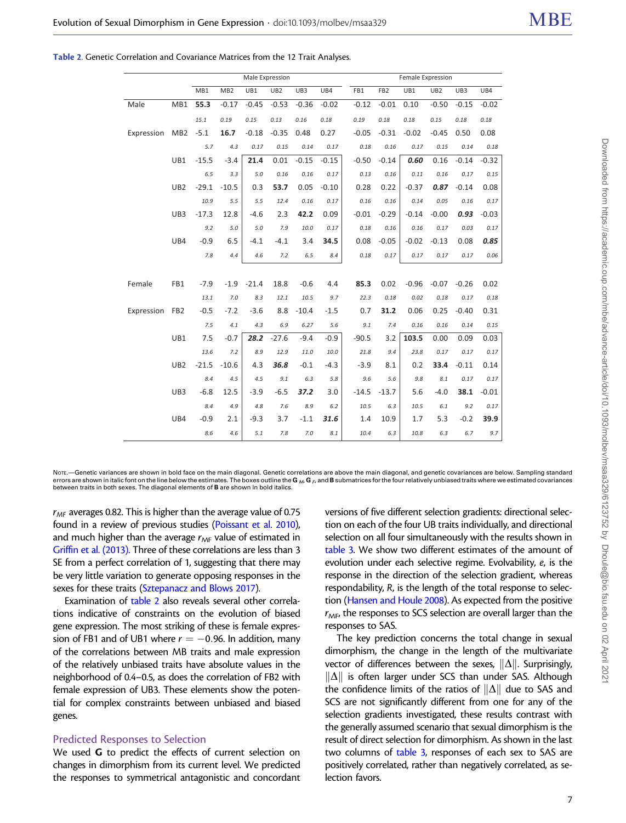| Male                | MB1 55.3        |         |         | $-0.17 -0.45$ |         | $-0.53 -0.36 -0.02$ |         | $-0.12$ | $-0.01$ $0.10$ |         | $-0.50$ | $-0.15$ | $-0.02$ |
|---------------------|-----------------|---------|---------|---------------|---------|---------------------|---------|---------|----------------|---------|---------|---------|---------|
|                     |                 | 15.1    | 0.19    | 0.15          | 0.13    | 0.16                | 0.18    | 0.19    | 0.18           | 0.18    | 0.15    | 0.18    | 0.18    |
| Expression MB2 -5.1 |                 |         | 16.7    | $-0.18$       | $-0.35$ | 0.48                | 0.27    | $-0.05$ | $-0.31$        | $-0.02$ | $-0.45$ | 0.50    | 0.08    |
|                     |                 | 5.7     | 4.3     | 0.17          | 0.15    | 0.14                | 0.17    | 0.18    | 0.16           | 0.17    | 0.15    | 0.14    | 0.18    |
|                     | UB1             | $-15.5$ | $-3.4$  | 21.4          | 0.01    | $-0.15$             | $-0.15$ | $-0.50$ | $-0.14$        | 0.60    | 0.16    | $-0.14$ | $-0.32$ |
|                     |                 | 6.5     | 3.3     | 5.0           | 0.16    | 0.16                | 0.17    | 0.13    | 0.16           | 0.11    | 0.16    | 0.17    | 0.15    |
|                     | UB <sub>2</sub> | $-29.1$ | $-10.5$ | 0.3           | 53.7    | 0.05                | $-0.10$ | 0.28    | 0.22           | $-0.37$ | 0.87    | $-0.14$ | 0.08    |
|                     |                 | 10.9    | 5.5     | 5.5           | 12.4    | 0.16                | 0.17    | 0.16    | 0.16           | 0.14    | 0.05    | 0.16    | 0.17    |
|                     | UB3             | $-17.3$ | 12.8    | $-4.6$        | 2.3     | 42.2                | 0.09    | $-0.01$ | $-0.29$        | $-0.14$ | $-0.00$ | 0.93    | $-0.03$ |
|                     |                 | 9.2     | 5.0     | 5.0           | 7.9     | 10.0                | 0.17    | 0.18    | 0.16           | 0.16    | 0.17    | 0.03    | 0.17    |
|                     | UB4             | $-0.9$  | 6.5     | $-4.1$        | $-4.1$  | 3.4                 | 34.5    | 0.08    | $-0.05$        | $-0.02$ | $-0.13$ | 0.08    | 0.85    |
|                     |                 | 7.8     | 4.4     | 4.6           | 7.2     | 6.5                 | $8.4\,$ | 0.18    | 0.17           | 0.17    | 0.17    | 0.17    | 0.06    |
|                     |                 |         |         |               |         |                     |         |         |                |         |         |         |         |
| Female              | FB1             | $-7.9$  |         | $-1.9 -21.4$  | 18.8    | $-0.6$              | 4.4     | 85.3    | 0.02           | $-0.96$ | $-0.07$ | $-0.26$ | 0.02    |
|                     |                 | 13.1    | 7.0     | 8.3           | 12.1    | 10.5                | 9.7     | 22.3    | 0.18           | 0.02    | 0.18    | 0.17    | 0.18    |
| Expression FB2      |                 | $-0.5$  | $-7.2$  | $-3.6$        | 8.8     | $-10.4$             | $-1.5$  | 0.7     | 31.2           | 0.06    | 0.25    | $-0.40$ | 0.31    |
|                     |                 | 7.5     | 4.1     | 4.3           | 6.9     | 6.27                | 5.6     | 9.1     | 7.4            | 0.16    | 0.16    | 0.14    | 0.15    |
|                     | UB1             | 7.5     | $-0.7$  | 28.2          | $-27.6$ | $-9.4$              | $-0.9$  | $-90.5$ | 3.2            | 103.5   | 0.00    | 0.09    | 0.03    |
|                     |                 | 13.6    | 7.2     | 8.9           | 12.9    | 11.0                | 10.0    | 21.8    | 9.4            | 23.8    | 0.17    | 0.17    | 0.17    |
|                     | UB <sub>2</sub> | $-21.5$ | $-10.6$ | 4.3           | 36.8    | $-0.1$              | $-4.3$  | $-3.9$  | 8.1            | 0.2     | 33.4    | $-0.11$ | 0.14    |
|                     |                 | 8.4     | 4.5     | 4.5           | 9.1     | 6.3                 | 5.8     | 9.6     | 5.6            | 9.8     | 8.1     | 0.17    | 0.17    |
|                     | UB3             | $-6.8$  | 12.5    | $-3.9$        | $-6.5$  | 37.2                | 3.0     | $-14.5$ | $-13.7$        | 5.6     | $-4.0$  | 38.1    | $-0.01$ |
|                     |                 | 8.4     | 4.9     | 4.8           | 7.6     | 8.9                 | 6.2     | 10.5    | 6.3            | 10.5    | 6.1     | 9.2     | 0.17    |
|                     | UB4             | $-0.9$  | 2.1     | $-9.3$        | 3.7     | $-1.1$              | 31.6    | 1.4     | 10.9           | 1.7     | 5.3     | $-0.2$  | 39.9    |
|                     |                 | 8.6     | 4.6     | 5.1           | 7.8     | 7.0                 | 8.1     | 10.4    | 6.3            | 10.8    | 6.3     | 6.7     | 9.7     |

Male Expression Female Expression

MB1 MB2 UB1 UB2 UB3 UB4 FB1 FB2 UB1 UB2 UB3 UB4

Table 2. Genetic Correlation and Covariance Matrices from the 12 Trait Analyses.

N<sub>OTE</sub>.—Genetic variances are shown in bold face on the main diagonal. Genetic correlations are above the main diagonal, and genetic covariances are below. Sampling standard errors are shown in italic font on the line below the estimates. The boxes outline the G<sub>M</sub>, G<sub>F</sub>, and B submatrices for the four relatively unbiased traits where we estimated covariances between traits in both sexes. The diagonal elements of B are shown in bold italics.

 $r_{MF}$  averages 0.82. This is higher than the average value of 0.75 found in a review of previous studies ([Poissant et al. 2010\)](#page-12-0), and much higher than the average  $r_{MF}$  value of estimated in [Griffin et al. \(2013\)](#page-11-0). Three of these correlations are less than 3 SE from a perfect correlation of 1, suggesting that there may be very little variation to generate opposing responses in the sexes for these traits ([Sztepanacz and Blows 2017\)](#page-12-0).

Examination of table 2 also reveals several other correlations indicative of constraints on the evolution of biased gene expression. The most striking of these is female expression of FB1 and of UB1 where  $r = -0.96$ . In addition, many of the correlations between MB traits and male expression of the relatively unbiased traits have absolute values in the neighborhood of 0.4–0.5, as does the correlation of FB2 with female expression of UB3. These elements show the potential for complex constraints between unbiased and biased genes.

#### Predicted Responses to Selection

We used **G** to predict the effects of current selection on changes in dimorphism from its current level. We predicted the responses to symmetrical antagonistic and concordant versions of five different selection gradients: directional selection on each of the four UB traits individually, and directional selection on all four simultaneously with the results shown in [table 3](#page-7-0). We show two different estimates of the amount of evolution under each selective regime. Evolvability, e, is the response in the direction of the selection gradient, whereas respondability, R, is the length of the total response to selection [\(Hansen and Houle 2008](#page-11-0)). As expected from the positive  $r<sub>ME</sub>$ , the responses to SCS selection are overall larger than the responses to SAS.

The key prediction concerns the total change in sexual dimorphism, the change in the length of the multivariate vector of differences between the sexes,  $\|\Delta\|$ . Surprisingly,  $\|\Delta\|$  is often larger under SCS than under SAS. Although the confidence limits of the ratios of  $\|\Delta\|$  due to SAS and SCS are not significantly different from one for any of the selection gradients investigated, these results contrast with the generally assumed scenario that sexual dimorphism is the result of direct selection for dimorphism. As shown in the last two columns of [table 3,](#page-7-0) responses of each sex to SAS are positively correlated, rather than negatively correlated, as selection favors.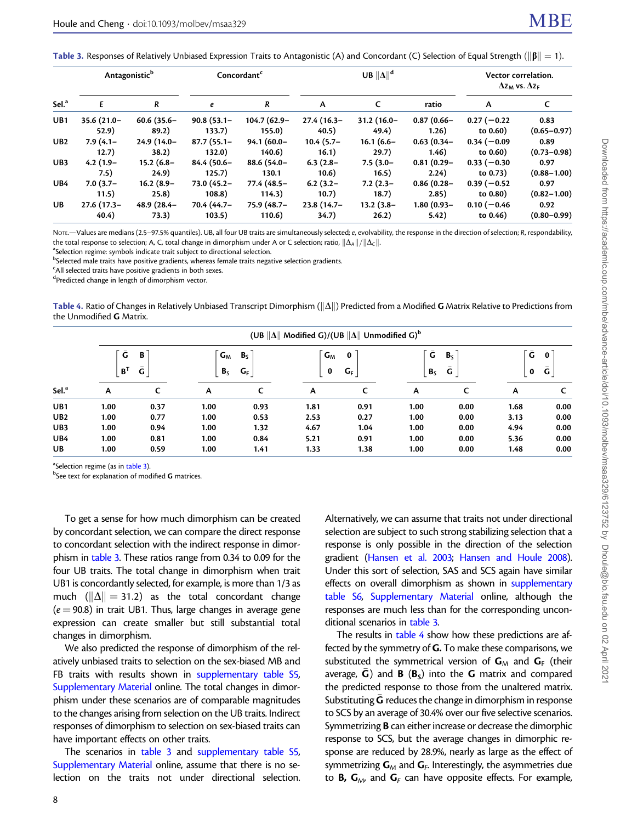<span id="page-7-0"></span>Table 3. Responses of Relatively Unbiased Expression Traits to Antagonistic (A) and Concordant (C) Selection of Equal Strength ( $\|\boldsymbol{\beta}\| = 1$ ).

|                   | Antagonistic <sup>b</sup> |               | Concordant <sup>c</sup> |               |               | UB $\ \Delta\ ^{d}$ | Vector correlation.<br>$\Delta \bar{z}_{\text{M}}$ vs. $\Delta \bar{z}_{\text{F}}$ |               |                 |
|-------------------|---------------------------|---------------|-------------------------|---------------|---------------|---------------------|------------------------------------------------------------------------------------|---------------|-----------------|
| Sel. <sup>a</sup> | E                         | $\mathcal{R}$ | e                       | R             | A             | C                   | ratio                                                                              | A             | C               |
| UB <sub>1</sub>   | $35.6(21.0 -$             | $60.6(35.6 -$ | $90.8(53.1 -$           | 104.7 (62.9-  | $27.4(16.3-$  | $31.2(16.0 -$       | $0.87(0.66 -$                                                                      | $0.27(-0.22)$ | 0.83            |
|                   | 52.9)                     | 89.2)         | 133.7)                  | 155.0)        | (40.5)        | 49.4)               | (1.26)                                                                             | to 0.60)      | $(0.65 - 0.97)$ |
| UB2               | $7.9(4.1 -$               | $24.9(14.0 -$ | $87.7(55.1 -$           | $94.1(60.0 -$ | $10.4(5.7 -$  | $16.1(6.6 -$        | $0.63(0.34 -$                                                                      | $0.34(-0.09)$ | 0.89            |
|                   | 12.7)                     | 38.2)         | 132.0)                  | 140.6)        | 16.1)         | 29.7)               | 1.46)                                                                              | to $0.60$ )   | $(0.73 - 0.98)$ |
| UB3               | $4.2(1.9-$                | $15.2(6.8 -$  | 84.4 (50.6–             | 88.6 (54.0-   | $6.3(2.8 -$   | $7.5(3.0 -$         | $0.81(0.29 -$                                                                      | $0.33(-0.30)$ | 0.97            |
|                   | 7.5)                      | 24.9)         | 125.7)                  | 130.1         | 10.6)         | 16.5)               | 2.24)                                                                              | to 0.73)      | $(0.88 - 1.00)$ |
| UB <sub>4</sub>   | $7.0(3.7-$                | $16.2(8.9-$   | $73.0(45.2 -$           | 77.4 (48.5-   | $6.2(3.2 -$   | $7.2(2.3 -$         | $0.86(0.28 -$                                                                      | $0.39(-0.52)$ | 0.97            |
|                   | 11.5)                     | 25.8)         | 108.8)                  | 114.3)        | 10.7)         | 18.7)               | 2.85)                                                                              | to 0.80)      | $(0.82 - 1.00)$ |
| UB                | $27.6(17.3 -$             | $48.9(28.4 -$ | 70.4 (44.7-             | 75.9 (48.7-   | $23.8(14.7 -$ | $13.2(3.8 -$        | $1.80(0.93 -$                                                                      | $0.10(-0.46)$ | 0.92            |
|                   | 40.4)                     | 73.3)         | 103.5)                  | 110.6)        | 34.7)         | 26.2)               | 5.42)                                                                              | to $0.46$ )   | $(0.80 - 0.99)$ |

NOTE.—Values are medians (2.5–97.5% quantiles). UB, all four UB traits are simultaneously selected; e, evolvability, the response in the direction of selection; R, respondability, the total response to selection; A, C, total change in dimorphism under A or C selection; ratio,  $\|\Delta_A\|/\|\Delta_C\|$ .

<sup>a</sup>Selection regime: symbols indicate trait subject to directional selection.

<sup>b</sup>Selected male traits have positive gradients, whereas female traits negative selection gradients.

<sup>c</sup>All selected traits have positive gradients in both sexes.

<sup>d</sup>Predicted change in length of dimorphism vector.

Table 4. Ratio of Changes in Relatively Unbiased Transcript Dimorphism ( $\|\Delta\|$ ) Predicted from a Modified G Matrix Relative to Predictions from the Unmodified **G** Matrix.

| Sel. <sup>a</sup> |                               | (UB $\ \Delta\ $ Modified G)/(UB $\ \Delta\ $ Unmodified G) <sup>b</sup> |                                             |      |                          |      |                                      |      |                            |      |  |  |  |  |
|-------------------|-------------------------------|--------------------------------------------------------------------------|---------------------------------------------|------|--------------------------|------|--------------------------------------|------|----------------------------|------|--|--|--|--|
|                   | Ğ<br>В<br>Ğ<br>B <sup>T</sup> |                                                                          | $G_M$<br>B <sub>S</sub><br>$G_F$<br>$B_{S}$ |      | $G_M$<br>0<br>$G_F$<br>0 |      | Ĝ<br>$B_{S}$<br>Ğ.<br>B <sub>S</sub> |      | Ĝ<br>$\mathbf 0$<br>Ğ<br>0 |      |  |  |  |  |
|                   | A                             |                                                                          | A                                           |      | A                        |      | A                                    |      | A                          |      |  |  |  |  |
| UB1               | 1.00                          | 0.37                                                                     | 1.00                                        | 0.93 | 1.81                     | 0.91 | 1.00                                 | 0.00 | 1.68                       | 0.00 |  |  |  |  |
| UB2               | 1.00                          | 0.77                                                                     | 1.00                                        | 0.53 | 2.53                     | 0.27 | 1.00                                 | 0.00 | 3.13                       | 0.00 |  |  |  |  |
| UB3               | 1.00                          | 0.94                                                                     | 1.00                                        | 1.32 | 4.67                     | 1.04 | 1.00                                 | 0.00 | 4.94                       | 0.00 |  |  |  |  |
| UB <sub>4</sub>   | 1.00                          | 0.81                                                                     | 1.00                                        | 0.84 | 5.21                     | 0.91 | 1.00                                 | 0.00 | 5.36                       | 0.00 |  |  |  |  |
| UB                | 1.00                          | 0.59                                                                     | 1.00                                        | 1.41 | 1.33                     | 1.38 | 1.00                                 | 0.00 | 1.48                       | 0.00 |  |  |  |  |

a<br>Selection regime (as in table 3).<br>bSee text for explanation of more

 $^{\rm b}$ See text for explanation of modified **G** matrices.

To get a sense for how much dimorphism can be created by concordant selection, we can compare the direct response to concordant selection with the indirect response in dimorphism in table 3. These ratios range from 0.34 to 0.09 for the four UB traits. The total change in dimorphism when trait UB1 is concordantly selected, for example, is more than 1/3 as much ( $\|\Delta\| = 31.2$ ) as the total concordant change  $(e = 90.8)$  in trait UB1. Thus, large changes in average gene expression can create smaller but still substantial total changes in dimorphism.

We also predicted the response of dimorphism of the relatively unbiased traits to selection on the sex-biased MB and FB traits with results shown in supplementary table S5, Supplementary Material online. The total changes in dimorphism under these scenarios are of comparable magnitudes to the changes arising from selection on the UB traits. Indirect responses of dimorphism to selection on sex-biased traits can have important effects on other traits.

The scenarios in table 3 and supplementary table S5, Supplementary Material online, assume that there is no selection on the traits not under directional selection. Alternatively, we can assume that traits not under directional selection are subject to such strong stabilizing selection that a response is only possible in the direction of the selection gradient [\(Hansen et al. 2003](#page-11-0); [Hansen and Houle 2008\)](#page-11-0). Under this sort of selection, SAS and SCS again have similar effects on overall dimorphism as shown in supplementary table S6, Supplementary Material online, although the responses are much less than for the corresponding unconditional scenarios in table 3.

The results in table 4 show how these predictions are affected by the symmetry of G. To make these comparisons, we substituted the symmetrical version of  $G_M$  and  $G_F$  (their average,  $\bar{G}$ ) and  $B$  ( $B_s$ ) into the G matrix and compared the predicted response to those from the unaltered matrix. Substituting  $\bar{\mathsf{G}}$  reduces the change in dimorphism in response to SCS by an average of 30.4% over our five selective scenarios. Symmetrizing B can either increase or decrease the dimorphic response to SCS, but the average changes in dimorphic response are reduced by 28.9%, nearly as large as the effect of symmetrizing  $G_M$  and  $G_F$ . Interestingly, the asymmetries due to **B, G**<sub>M</sub>, and **G**<sub>F</sub> can have opposite effects. For example,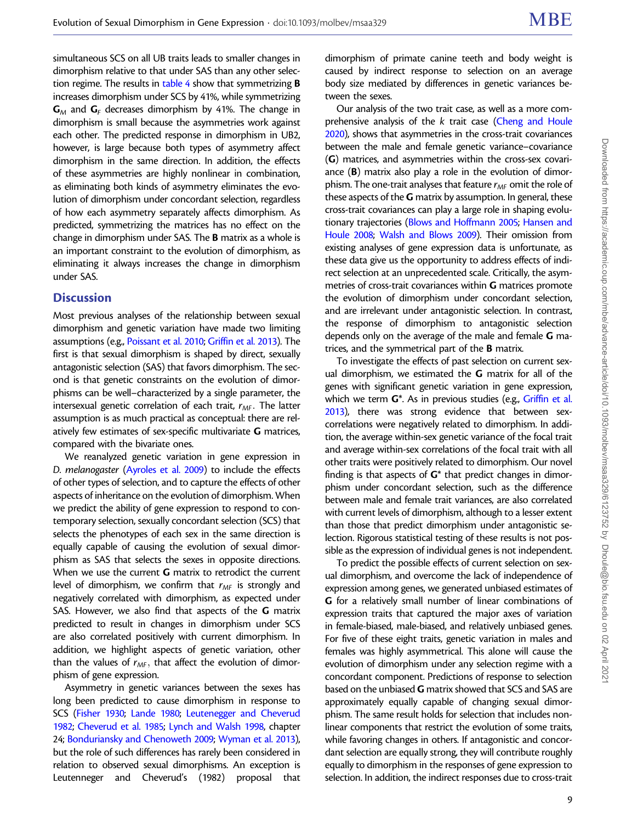simultaneous SCS on all UB traits leads to smaller changes in dimorphism relative to that under SAS than any other selection regime. The results in [table 4](#page-7-0) show that symmetrizing **B** increases dimorphism under SCS by 41%, while symmetrizing  $G_M$  and  $G_F$  decreases dimorphism by 41%. The change in dimorphism is small because the asymmetries work against each other. The predicted response in dimorphism in UB2, however, is large because both types of asymmetry affect dimorphism in the same direction. In addition, the effects of these asymmetries are highly nonlinear in combination, as eliminating both kinds of asymmetry eliminates the evolution of dimorphism under concordant selection, regardless of how each asymmetry separately affects dimorphism. As predicted, symmetrizing the matrices has no effect on the change in dimorphism under SAS. The B matrix as a whole is an important constraint to the evolution of dimorphism, as eliminating it always increases the change in dimorphism under SAS.

## **Discussion**

Most previous analyses of the relationship between sexual dimorphism and genetic variation have made two limiting assumptions (e.g., [Poissant et al. 2010;](#page-12-0) [Griffin et al. 2013](#page-11-0)). The first is that sexual dimorphism is shaped by direct, sexually antagonistic selection (SAS) that favors dimorphism. The second is that genetic constraints on the evolution of dimorphisms can be well–characterized by a single parameter, the intersexual genetic correlation of each trait,  $r_{MF}$ . The latter assumption is as much practical as conceptual: there are relatively few estimates of sex-specific multivariate G matrices, compared with the bivariate ones.

We reanalyzed genetic variation in gene expression in D. melanogaster [\(Ayroles et al. 2009\)](#page-11-0) to include the effects of other types of selection, and to capture the effects of other aspects of inheritance on the evolution of dimorphism. When we predict the ability of gene expression to respond to contemporary selection, sexually concordant selection (SCS) that selects the phenotypes of each sex in the same direction is equally capable of causing the evolution of sexual dimorphism as SAS that selects the sexes in opposite directions. When we use the current **G** matrix to retrodict the current level of dimorphism, we confirm that  $r_{MF}$  is strongly and negatively correlated with dimorphism, as expected under SAS. However, we also find that aspects of the G matrix predicted to result in changes in dimorphism under SCS are also correlated positively with current dimorphism. In addition, we highlight aspects of genetic variation, other than the values of  $r_{MF}$ , that affect the evolution of dimorphism of gene expression.

Asymmetry in genetic variances between the sexes has long been predicted to cause dimorphism in response to SCS ([Fisher 1930](#page-11-0); [Lande 1980;](#page-12-0) [Leutenegger and Cheverud](#page-12-0) [1982;](#page-12-0) [Cheverud et al. 1985;](#page-11-0) [Lynch and Walsh 1998,](#page-12-0) chapter 24; [Bonduriansky and Chenoweth 2009](#page-11-0); [Wyman et al. 2013\)](#page-12-0), but the role of such differences has rarely been considered in relation to observed sexual dimorphisms. An exception is Leutenneger and Cheverud's (1982) proposal that dimorphism of primate canine teeth and body weight is caused by indirect response to selection on an average body size mediated by differences in genetic variances between the sexes.

Our analysis of the two trait case, as well as a more comprehensive analysis of the k trait case [\(Cheng and Houle](#page-11-0) [2020\)](#page-11-0), shows that asymmetries in the cross-trait covariances between the male and female genetic variance–covariance (G) matrices, and asymmetries within the cross-sex covariance  $(B)$  matrix also play a role in the evolution of dimorphism. The one-trait analyses that feature  $r_{MF}$  omit the role of these aspects of the **G** matrix by assumption. In general, these cross-trait covariances can play a large role in shaping evolu-tionary trajectories [\(Blows and Hoffmann 2005;](#page-11-0) [Hansen and](#page-11-0) [Houle 2008](#page-11-0); [Walsh and Blows 2009](#page-12-0)). Their omission from existing analyses of gene expression data is unfortunate, as these data give us the opportunity to address effects of indirect selection at an unprecedented scale. Critically, the asymmetries of cross-trait covariances within G matrices promote the evolution of dimorphism under concordant selection, and are irrelevant under antagonistic selection. In contrast, the response of dimorphism to antagonistic selection depends only on the average of the male and female G matrices, and the symmetrical part of the B matrix.

To investigate the effects of past selection on current sexual dimorphism, we estimated the  $G$  matrix for all of the genes with significant genetic variation in gene expression, which we term G<sup>\*</sup>. As in previous studies (e.g., [Griffin et al.](#page-11-0) [2013\)](#page-11-0), there was strong evidence that between sexcorrelations were negatively related to dimorphism. In addition, the average within-sex genetic variance of the focal trait and average within-sex correlations of the focal trait with all other traits were positively related to dimorphism. Our novel finding is that aspects of  $G^*$  that predict changes in dimorphism under concordant selection, such as the difference between male and female trait variances, are also correlated with current levels of dimorphism, although to a lesser extent than those that predict dimorphism under antagonistic selection. Rigorous statistical testing of these results is not possible as the expression of individual genes is not independent.

To predict the possible effects of current selection on sexual dimorphism, and overcome the lack of independence of expression among genes, we generated unbiased estimates of G for a relatively small number of linear combinations of expression traits that captured the major axes of variation in female-biased, male-biased, and relatively unbiased genes. For five of these eight traits, genetic variation in males and females was highly asymmetrical. This alone will cause the evolution of dimorphism under any selection regime with a concordant component. Predictions of response to selection based on the unbiased G matrix showed that SCS and SAS are approximately equally capable of changing sexual dimorphism. The same result holds for selection that includes nonlinear components that restrict the evolution of some traits, while favoring changes in others. If antagonistic and concordant selection are equally strong, they will contribute roughly equally to dimorphism in the responses of gene expression to selection. In addition, the indirect responses due to cross-trait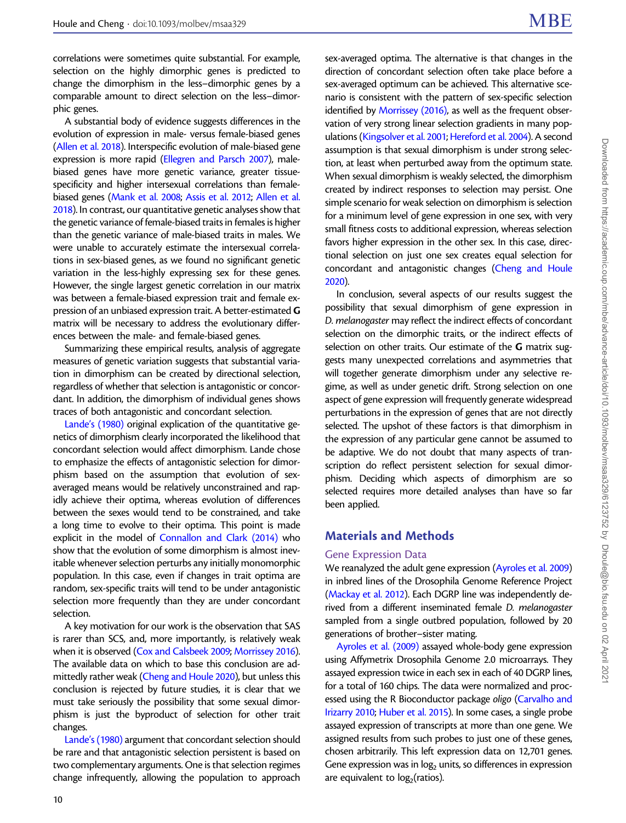correlations were sometimes quite substantial. For example, selection on the highly dimorphic genes is predicted to change the dimorphism in the less–dimorphic genes by a comparable amount to direct selection on the less–dimorphic genes.

A substantial body of evidence suggests differences in the evolution of expression in male- versus female-biased genes ([Allen et al. 2018\)](#page-11-0). Interspecific evolution of male-biased gene expression is more rapid ([Ellegren and Parsch 2007](#page-11-0)), malebiased genes have more genetic variance, greater tissuespecificity and higher intersexual correlations than femalebiased genes ([Mank et al. 2008;](#page-12-0) [Assis et al. 2012;](#page-11-0) [Allen et al.](#page-11-0) [2018\)](#page-11-0). In contrast, our quantitative genetic analyses show that the genetic variance of female-biased traits in females is higher than the genetic variance of male-biased traits in males. We were unable to accurately estimate the intersexual correlations in sex-biased genes, as we found no significant genetic variation in the less-highly expressing sex for these genes. However, the single largest genetic correlation in our matrix was between a female-biased expression trait and female expression of an unbiased expression trait. A better-estimated G matrix will be necessary to address the evolutionary differences between the male- and female-biased genes.

Summarizing these empirical results, analysis of aggregate measures of genetic variation suggests that substantial variation in dimorphism can be created by directional selection, regardless of whether that selection is antagonistic or concordant. In addition, the dimorphism of individual genes shows traces of both antagonistic and concordant selection.

[Lande's \(1980\)](#page-12-0) original explication of the quantitative genetics of dimorphism clearly incorporated the likelihood that concordant selection would affect dimorphism. Lande chose to emphasize the effects of antagonistic selection for dimorphism based on the assumption that evolution of sexaveraged means would be relatively unconstrained and rapidly achieve their optima, whereas evolution of differences between the sexes would tend to be constrained, and take a long time to evolve to their optima. This point is made explicit in the model of [Connallon and Clark \(2014\)](#page-11-0) who show that the evolution of some dimorphism is almost inevitable whenever selection perturbs any initially monomorphic population. In this case, even if changes in trait optima are random, sex-specific traits will tend to be under antagonistic selection more frequently than they are under concordant selection.

A key motivation for our work is the observation that SAS is rarer than SCS, and, more importantly, is relatively weak when it is observed [\(Cox and Calsbeek 2009;](#page-11-0) [Morrissey 2016\)](#page-12-0). The available data on which to base this conclusion are admittedly rather weak ([Cheng and Houle 2020](#page-11-0)), but unless this conclusion is rejected by future studies, it is clear that we must take seriously the possibility that some sexual dimorphism is just the byproduct of selection for other trait changes.

[Lande's \(1980\)](#page-12-0) argument that concordant selection should be rare and that antagonistic selection persistent is based on two complementary arguments. One is that selection regimes change infrequently, allowing the population to approach sex-averaged optima. The alternative is that changes in the direction of concordant selection often take place before a sex-averaged optimum can be achieved. This alternative scenario is consistent with the pattern of sex-specific selection identified by [Morrissey \(2016\)](#page-12-0), as well as the frequent observation of very strong linear selection gradients in many populations [\(Kingsolver et al. 2001;](#page-12-0) [Hereford et al. 2004](#page-11-0)). A second assumption is that sexual dimorphism is under strong selection, at least when perturbed away from the optimum state. When sexual dimorphism is weakly selected, the dimorphism created by indirect responses to selection may persist. One simple scenario for weak selection on dimorphism is selection for a minimum level of gene expression in one sex, with very small fitness costs to additional expression, whereas selection favors higher expression in the other sex. In this case, directional selection on just one sex creates equal selection for concordant and antagonistic changes [\(Cheng and Houle](#page-11-0) [2020\)](#page-11-0).

In conclusion, several aspects of our results suggest the possibility that sexual dimorphism of gene expression in D. melanogaster may reflect the indirect effects of concordant selection on the dimorphic traits, or the indirect effects of selection on other traits. Our estimate of the G matrix suggests many unexpected correlations and asymmetries that will together generate dimorphism under any selective regime, as well as under genetic drift. Strong selection on one aspect of gene expression will frequently generate widespread perturbations in the expression of genes that are not directly selected. The upshot of these factors is that dimorphism in the expression of any particular gene cannot be assumed to be adaptive. We do not doubt that many aspects of transcription do reflect persistent selection for sexual dimorphism. Deciding which aspects of dimorphism are so selected requires more detailed analyses than have so far been applied.

# Materials and Methods

#### Gene Expression Data

We reanalyzed the adult gene expression ([Ayroles et al. 2009](#page-11-0)) in inbred lines of the Drosophila Genome Reference Project [\(Mackay et al. 2012\)](#page-12-0). Each DGRP line was independently derived from a different inseminated female D. melanogaster sampled from a single outbred population, followed by 20 generations of brother–sister mating.

[Ayroles et al. \(2009\)](#page-11-0) assayed whole-body gene expression using Affymetrix Drosophila Genome 2.0 microarrays. They assayed expression twice in each sex in each of 40 DGRP lines, for a total of 160 chips. The data were normalized and processed using the R Bioconductor package oligo ([Carvalho and](#page-11-0) [Irizarry 2010](#page-11-0); [Huber et al. 2015](#page-11-0)). In some cases, a single probe assayed expression of transcripts at more than one gene. We assigned results from such probes to just one of these genes, chosen arbitrarily. This left expression data on 12,701 genes. Gene expression was in  $log<sub>2</sub>$  units, so differences in expression are equivalent to  $log<sub>2</sub>(rations)$ .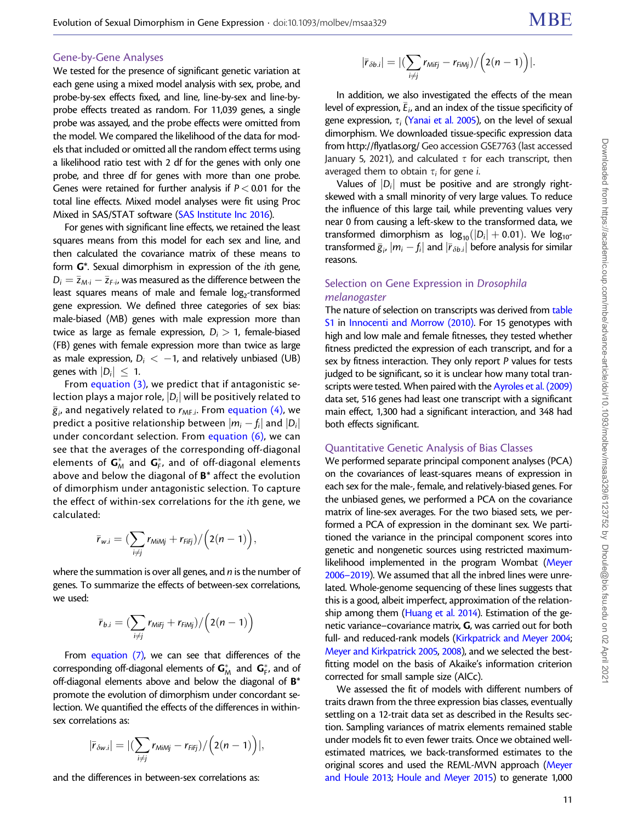#### Gene-by-Gene Analyses

We tested for the presence of significant genetic variation at each gene using a mixed model analysis with sex, probe, and probe-by-sex effects fixed, and line, line-by-sex and line-byprobe effects treated as random. For 11,039 genes, a single probe was assayed, and the probe effects were omitted from the model. We compared the likelihood of the data for models that included or omitted all the random effect terms using a likelihood ratio test with 2 df for the genes with only one probe, and three df for genes with more than one probe. Genes were retained for further analysis if  $P < 0.01$  for the total line effects. Mixed model analyses were fit using Proc Mixed in SAS/STAT software [\(SAS Institute Inc 2016](#page-12-0)).

For genes with significant line effects, we retained the least squares means from this model for each sex and line, and then calculated the covariance matrix of these means to form G\*. Sexual dimorphism in expression of the ith gene,  $D_i = \bar{z}_{M\cdot i} - \bar{z}_{F\cdot i}$ , was measured as the difference between the least squares means of male and female  $log<sub>2</sub>$ -transformed gene expression. We defined three categories of sex bias: male-biased (MB) genes with male expression more than twice as large as female expression,  $D_i > 1$ , female-biased (FB) genes with female expression more than twice as large as male expression,  $D_i < -1$ , and relatively unbiased (UB) genes with  $|D_i| \leq 1$ .

From [equation \(3\)](#page-2-0), we predict that if antagonistic selection plays a major role,  $|D_i|$  will be positively related to  $\bar{g}_i$ , and negatively related to  $r_{\mathsf{MF}.i}$ . From [equation \(4\)](#page-2-0), we predict a positive relationship between  $|m_i - f_i|$  and  $|D_i|$ under concordant selection. From equation  $(6)$ , we can see that the averages of the corresponding off-diagonal elements of  $\mathsf{G}_{\mathsf{M}}^*$  and  $\mathsf{G}_{\mathsf{F}}^*$ , and of off-diagonal elements above and below the diagonal of  $B^*$  affect the evolution of dimorphism under antagonistic selection. To capture the effect of within-sex correlations for the ith gene, we calculated:

$$
\bar{r}_{w.i} = \left(\sum_{i \neq j} r_{\text{MiM}j} + r_{\text{Fif}j}\right) / \left(2(n-1)\right),
$$

where the summation is over all genes, and  $n$  is the number of genes. To summarize the effects of between-sex correlations, we used:

$$
\bar{r}_{b.i} = (\sum_{i \neq j} r_{MiFj} + r_{FiMij}) / (2(n-1))
$$

From [equation \(7\)](#page-3-0), we can see that differences of the corresponding off-diagonal elements of  $\textsf{\textbf{G}}_{\sf M}^{*}$  and  $\textsf{\textbf{G}}_{\sf F}^{*}$ , and of off-diagonal elements above and below the diagonal of B\* promote the evolution of dimorphism under concordant selection. We quantified the effects of the differences in withinsex correlations as:

$$
|\bar{r}_{\delta w.i}| = |(\sum_{i \neq j} r_{\text{Min}ij} - r_{\text{Fif}j}) / (2(n-1))|,
$$

and the differences in between-sex correlations as:

$$
|\bar{r}_{\delta b.i}|=|(\sum_{i\neq j}r_{Mifj}-r_{FiMj})/\Big(2(n-1)\Big)|.
$$

In addition, we also investigated the effects of the mean level of expression,  $\bar{E}_i$ , and an index of the tissue specificity of gene expression,  $\tau_i$  [\(Yanai et al. 2005\)](#page-12-0), on the level of sexual dimorphism. We downloaded tissue-specific expression data from<http://flyatlas.org/>Geo accession GSE7763 (last accessed January 5, 2021), and calculated  $\tau$  for each transcript, then averaged them to obtain  $\tau_i$  for gene *i*.

Values of  $|D_i|$  must be positive and are strongly rightskewed with a small minority of very large values. To reduce the influence of this large tail, while preventing values very near 0 from causing a left-skew to the transformed data, we transformed dimorphism as  $log_{10}(|D_i| + 0.01)$ . We  $log_{10}$ transformed  $\bar{g}_i$ ,  $|m_i - f_i|$  and  $|\bar{r}_{\delta b.i}|$  before analysis for similar reasons.

## Selection on Gene Expression in Drosophila melanogaster

The nature of selection on transcripts was derived from table S1 in [Innocenti and Morrow \(2010\).](#page-12-0) For 15 genotypes with high and low male and female fitnesses, they tested whether fitness predicted the expression of each transcript, and for a sex by fitness interaction. They only report P values for tests judged to be significant, so it is unclear how many total tran-scripts were tested. When paired with the [Ayroles et al. \(2009\)](#page-11-0) data set, 516 genes had least one transcript with a significant main effect, 1,300 had a significant interaction, and 348 had both effects significant.

### Quantitative Genetic Analysis of Bias Classes

We performed separate principal component analyses (PCA) on the covariances of least-squares means of expression in each sex for the male-, female, and relatively-biased genes. For the unbiased genes, we performed a PCA on the covariance matrix of line-sex averages. For the two biased sets, we performed a PCA of expression in the dominant sex. We partitioned the variance in the principal component scores into genetic and nongenetic sources using restricted maximumlikelihood implemented in the program Wombat [\(Meyer](#page-12-0) [2006–2019\)](#page-12-0). We assumed that all the inbred lines were unrelated. Whole-genome sequencing of these lines suggests that this is a good, albeit imperfect, approximation of the relationship among them [\(Huang et al. 2014](#page-11-0)). Estimation of the genetic variance–covariance matrix, G, was carried out for both full- and reduced-rank models ([Kirkpatrick and Meyer 2004;](#page-12-0) [Meyer and Kirkpatrick 2005](#page-12-0), [2008\)](#page-12-0), and we selected the bestfitting model on the basis of Akaike's information criterion corrected for small sample size (AICc).

We assessed the fit of models with different numbers of traits drawn from the three expression bias classes, eventually settling on a 12-trait data set as described in the Results section. Sampling variances of matrix elements remained stable under models fit to even fewer traits. Once we obtained wellestimated matrices, we back-transformed estimates to the original scores and used the REML-MVN approach [\(Meyer](#page-12-0) [and Houle 2013;](#page-12-0) [Houle and Meyer 2015\)](#page-11-0) to generate 1,000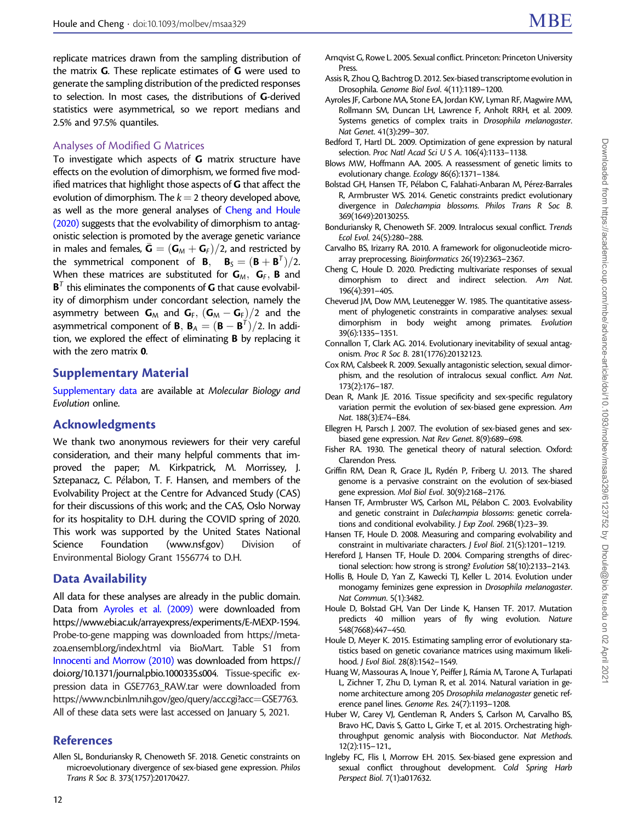<span id="page-11-0"></span>replicate matrices drawn from the sampling distribution of the matrix G. These replicate estimates of G were used to generate the sampling distribution of the predicted responses to selection. In most cases, the distributions of G-derived statistics were asymmetrical, so we report medians and 2.5% and 97.5% quantiles.

## Analyses of Modified G Matrices

To investigate which aspects of G matrix structure have effects on the evolution of dimorphism, we formed five modified matrices that highlight those aspects of G that affect the evolution of dimorphism. The  $k = 2$  theory developed above, as well as the more general analyses of Cheng and Houle (2020) suggests that the evolvability of dimorphism to antagonistic selection is promoted by the average genetic variance in males and females,  $\bar{\bm{\mathsf{G}}} = (\bm{\mathsf{G}}_\mathsf{M} + \bm{\mathsf{G}}_\mathsf{F})/2$ , and restricted by the symmetrical component of **B**,  $B_5 = (B + B^T)/2$ . When these matrices are substituted for  $G_M$ ,  $G_F$ , **B** and  $B<sup>T</sup>$  this eliminates the components of G that cause evolvability of dimorphism under concordant selection, namely the asymmetry between  $G_M$  and  $G_F$ ,  $(G_M - G_F)/2$  and the asymmetrical component of **B**, **B**<sub>A</sub> =  $(\mathbf{B} - \mathbf{B}^T)/2$ . In addition, we explored the effect of eliminating B by replacing it with the zero matrix 0.

## Supplementary Material

Supplementary data are available at Molecular Biology and Evolution online.

## Acknowledgments

We thank two anonymous reviewers for their very careful consideration, and their many helpful comments that improved the paper; M. Kirkpatrick, M. Morrissey, J. Sztepanacz, C. Pélabon, T. F. Hansen, and members of the Evolvability Project at the Centre for Advanced Study (CAS) for their discussions of this work; and the CAS, Oslo Norway for its hospitality to D.H. during the COVID spring of 2020. This work was supported by the United States National Science Foundation [\(www.nsf.gov\)](http://www.nsf.gov) Division of Environmental Biology Grant 1556774 to D.H.

## Data Availability

All data for these analyses are already in the public domain. Data from Ayroles et al. (2009) were downloaded from [https://www.ebi.ac.uk/arrayexpress/experiments/E-MEXP-1594.](https://www.ebi.ac.uk/arrayexpress/experiments/E-MEXP-1594) Probe-to-gene mapping was downloaded from [https://meta](https://metazoa.ensembl.org/index.html)[zoa.ensembl.org/index.html](https://metazoa.ensembl.org/index.html) via BioMart. Table S1 from [Innocenti and Morrow \(2010\)](#page-12-0) was downloaded from [https://](https://doi.org/10.1371/journal.pbio.1000335.s004) [doi.org/10.1371/journal.pbio.1000335.s004.](https://doi.org/10.1371/journal.pbio.1000335.s004) Tissue-specific expression data in GSE7763\_RAW.tar were downloaded from [https://www.ncbi.nlm.nih.gov/geo/query/acc.cgi?acc](https://www.ncbi.nlm.nih.gov/geo/query/acc.cgi?acc=GSE7763)=[GSE7763.](https://www.ncbi.nlm.nih.gov/geo/query/acc.cgi?acc=GSE7763) All of these data sets were last accessed on January 5, 2021.

## References

Allen SL, Bonduriansky R, Chenoweth SF. 2018. Genetic constraints on microevolutionary divergence of sex-biased gene expression. Philos Trans R Soc B. 373(1757):20170427.

- Arnqvist G, Rowe L. 2005. Sexual conflict. Princeton: Princeton University Press.
- Assis R, Zhou Q, Bachtrog D. 2012. Sex-biased transcriptome evolution in Drosophila. Genome Biol Evol. 4(11):1189–1200.
- Ayroles JF, Carbone MA, Stone EA, Jordan KW, Lyman RF, Magwire MM, Rollmann SM, Duncan LH, Lawrence F, Anholt RRH, et al. 2009. Systems genetics of complex traits in Drosophila melanogaster. Nat Genet. 41(3):299–307.
- Bedford T, Hartl DL. 2009. Optimization of gene expression by natural selection. Proc Natl Acad Sci U S A. 106(4):1133–1138.
- Blows MW, Hoffmann AA. 2005. A reassessment of genetic limits to evolutionary change. Ecology 86(6):1371–1384.
- Bolstad GH, Hansen TF, Pélabon C, Falahati-Anbaran M, Pérez-Barrales R, Armbruster WS. 2014. Genetic constraints predict evolutionary divergence in Dalechampia blossoms. Philos Trans R Soc B. 369(1649):20130255.
- Bonduriansky R, Chenoweth SF. 2009. Intralocus sexual conflict. Trends Ecol Evol. 24(5):280–288.
- Carvalho BS, Irizarry RA. 2010. A framework for oligonucleotide microarray preprocessing. Bioinformatics 26(19):2363–2367.
- Cheng C, Houle D. 2020. Predicting multivariate responses of sexual dimorphism to direct and indirect selection. Am Nat. 196(4):391–405.
- Cheverud JM, Dow MM, Leutenegger W. 1985. The quantitative assessment of phylogenetic constraints in comparative analyses: sexual dimorphism in body weight among primates. Evolution 39(6):1335–1351.
- Connallon T, Clark AG. 2014. Evolutionary inevitability of sexual antagonism. Proc R Soc B. 281(1776):20132123.
- Cox RM, Calsbeek R. 2009. Sexually antagonistic selection, sexual dimorphism, and the resolution of intralocus sexual conflict. Am Nat. 173(2):176–187.
- Dean R, Mank JE. 2016. Tissue specificity and sex-specific regulatory variation permit the evolution of sex-biased gene expression. Am Nat. 188(3):E74–E84.
- Ellegren H, Parsch J. 2007. The evolution of sex-biased genes and sexbiased gene expression. Nat Rev Genet. 8(9):689–698.
- Fisher RA. 1930. The genetical theory of natural selection. Oxford: Clarendon Press.
- Griffin RM, Dean R, Grace JL, Rydén P, Friberg U. 2013. The shared genome is a pervasive constraint on the evolution of sex-biased gene expression. Mol Biol Evol. 30(9):2168–2176.
- Hansen TF, Armbruster WS, Carlson ML, Pélabon C. 2003. Evolvability and genetic constraint in Dalechampia blossoms: genetic correlations and conditional evolvability. J Exp Zool. 296B(1):23–39.
- Hansen TF, Houle D. 2008. Measuring and comparing evolvability and constraint in multivariate characters. J Evol Biol. 21(5):1201–1219.
- Hereford J, Hansen TF, Houle D. 2004. Comparing strengths of directional selection: how strong is strong? Evolution 58(10):2133–2143.
- Hollis B, Houle D, Yan Z, Kawecki TJ, Keller L. 2014. Evolution under monogamy feminizes gene expression in Drosophila melanogaster. Nat Commun. 5(1):3482.
- Houle D, Bolstad GH, Van Der Linde K, Hansen TF. 2017. Mutation predicts 40 million years of fly wing evolution. Nature 548(7668):447–450.
- Houle D, Meyer K. 2015. Estimating sampling error of evolutionary statistics based on genetic covariance matrices using maximum likelihood. J Evol Biol. 28(8):1542–1549.
- Huang W, Massouras A, Inoue Y, Peiffer J, Rámia M, Tarone A, Turlapati L, Zichner T, Zhu D, Lyman R, et al. 2014. Natural variation in genome architecture among 205 Drosophila melanogaster genetic reference panel lines. Genome Res. 24(7):1193–1208.
- Huber W, Carey VJ, Gentleman R, Anders S, Carlson M, Carvalho BS, Bravo HC, Davis S, Gatto L, Girke T, et al. 2015. Orchestrating highthroughput genomic analysis with Bioconductor. Nat Methods. 12(2):115–121.,
- Ingleby FC, Flis I, Morrow EH. 2015. Sex-biased gene expression and sexual conflict throughout development. Cold Spring Harb Perspect Biol. 7(1):a017632.